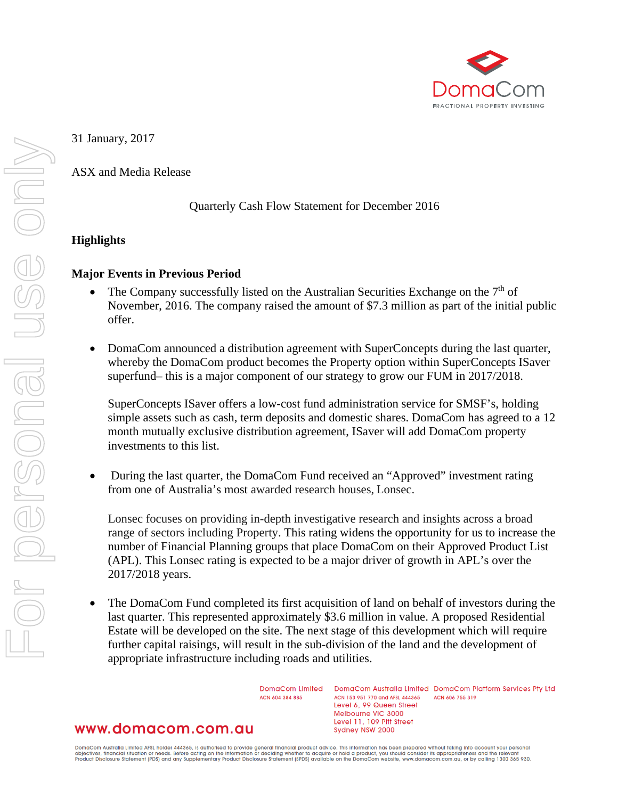

31 January, 2017

ASX and Media Release

#### Quarterly Cash Flow Statement for December 2016

## **Highlights**

#### **Major Events in Previous Period**

- The Company successfully listed on the Australian Securities Exchange on the 7<sup>th</sup> of November, 2016. The company raised the amount of \$7.3 million as part of the initial public offer.
- DomaCom announced a distribution agreement with SuperConcepts during the last quarter, whereby the DomaCom product becomes the Property option within SuperConcepts ISaver superfund– this is a major component of our strategy to grow our FUM in 2017/2018.

SuperConcepts ISaver offers a low-cost fund administration service for SMSF's, holding simple assets such as cash, term deposits and domestic shares. DomaCom has agreed to a 12 month mutually exclusive distribution agreement, ISaver will add DomaCom property investments to this list.

• During the last quarter, the DomaCom Fund received an "Approved" investment rating from one of Australia's most awarded research houses, Lonsec.

Lonsec focuses on providing in-depth investigative research and insights across a broad range of sectors including Property. This rating widens the opportunity for us to increase the number of Financial Planning groups that place DomaCom on their Approved Product List (APL). This Lonsec rating is expected to be a major driver of growth in APL's over the 2017/2018 years.

• The DomaCom Fund completed its first acquisition of land on behalf of investors during the last quarter. This represented approximately \$3.6 million in value. A proposed Residential Estate will be developed on the site. The next stage of this development which will require further capital raisings, will result in the sub-division of the land and the development of appropriate infrastructure including roads and utilities.

> DomaCom Limited ACN 604 384 885

DomaCom Australia Limited DomaCom Platform Services Pty Ltd ACN 153 951 770 and AFSL 444365 ACN 606 755 319 Level 6, 99 Queen Street Melbourne VIC 3000 Level 11, 109 Pitt Street Sydney NSW 2000

# www.domacom.com.au

DomaCom Australia Limited AFSL holder 444365, is authorised to provide general financial product advice. This information has been prepared without taking into account your personal<br>objectives, financial situation or needs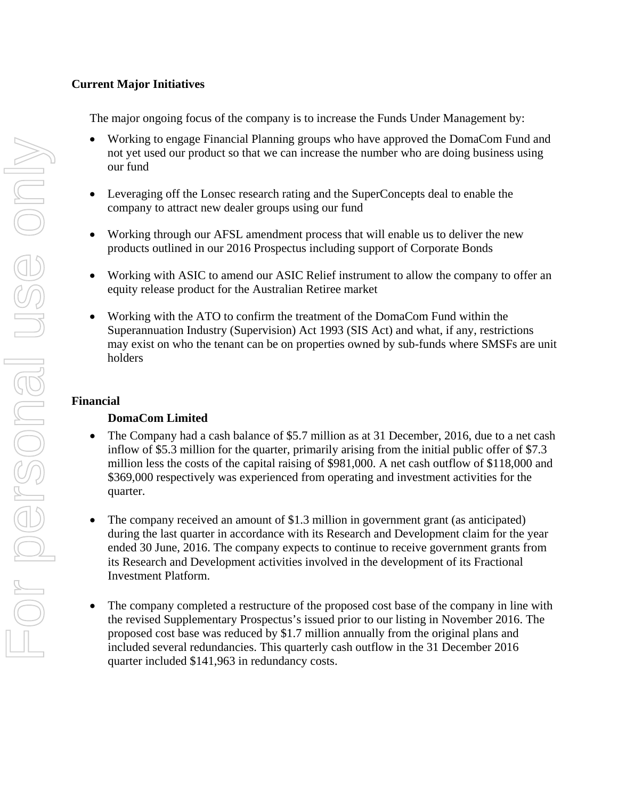# **Current Major Initiatives**

The major ongoing focus of the company is to increase the Funds Under Management by:

- Working to engage Financial Planning groups who have approved the DomaCom Fund and not yet used our product so that we can increase the number who are doing business using our fund
- Leveraging off the Lonsec research rating and the SuperConcepts deal to enable the company to attract new dealer groups using our fund
- Working through our AFSL amendment process that will enable us to deliver the new products outlined in our 2016 Prospectus including support of Corporate Bonds
- Working with ASIC to amend our ASIC Relief instrument to allow the company to offer an equity release product for the Australian Retiree market
- Working with the ATO to confirm the treatment of the DomaCom Fund within the Superannuation Industry (Supervision) Act 1993 (SIS Act) and what, if any, restrictions may exist on who the tenant can be on properties owned by sub-funds where SMSFs are unit holders

## **Financial**

## **DomaCom Limited**

- The Company had a cash balance of \$5.7 million as at 31 December, 2016, due to a net cash inflow of \$5.3 million for the quarter, primarily arising from the initial public offer of \$7.3 million less the costs of the capital raising of \$981,000. A net cash outflow of \$118,000 and \$369,000 respectively was experienced from operating and investment activities for the quarter.
- The company received an amount of \$1.3 million in government grant (as anticipated) during the last quarter in accordance with its Research and Development claim for the year ended 30 June, 2016. The company expects to continue to receive government grants from its Research and Development activities involved in the development of its Fractional Investment Platform.
- The company completed a restructure of the proposed cost base of the company in line with the revised Supplementary Prospectus's issued prior to our listing in November 2016. The proposed cost base was reduced by \$1.7 million annually from the original plans and included several redundancies. This quarterly cash outflow in the 31 December 2016 quarter included \$141,963 in redundancy costs.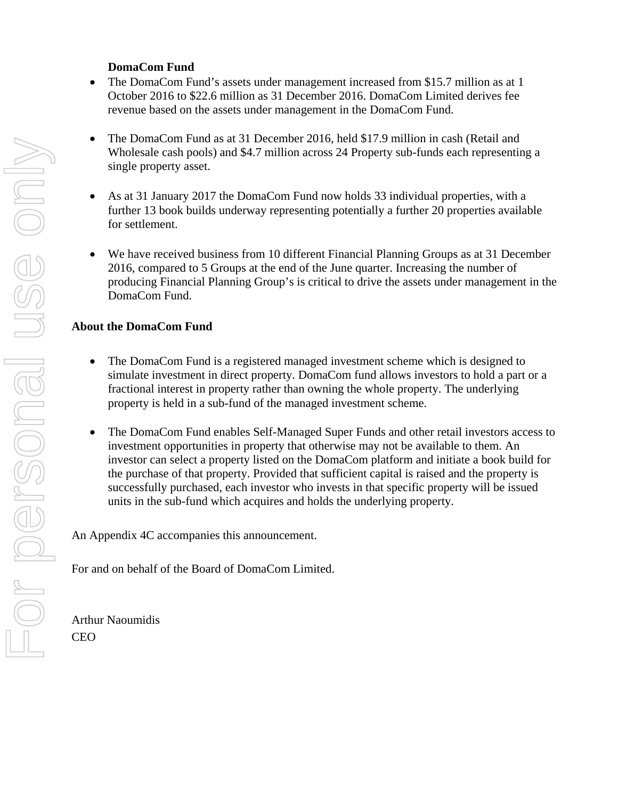# **DomaCom Fund**

- The DomaCom Fund's assets under management increased from \$15.7 million as at 1 October 2016 to \$22.6 million as 31 December 2016. DomaCom Limited derives fee revenue based on the assets under management in the DomaCom Fund.
- The DomaCom Fund as at 31 December 2016, held \$17.9 million in cash (Retail and Wholesale cash pools) and \$4.7 million across 24 Property sub-funds each representing a single property asset.
- As at 31 January 2017 the DomaCom Fund now holds 33 individual properties, with a further 13 book builds underway representing potentially a further 20 properties available for settlement.
- We have received business from 10 different Financial Planning Groups as at 31 December 2016, compared to 5 Groups at the end of the June quarter. Increasing the number of producing Financial Planning Group's is critical to drive the assets under management in the DomaCom Fund.

# **About the DomaCom Fund**

- The DomaCom Fund is a registered managed investment scheme which is designed to simulate investment in direct property. DomaCom fund allows investors to hold a part or a fractional interest in property rather than owning the whole property. The underlying property is held in a sub-fund of the managed investment scheme.
- The DomaCom Fund enables Self-Managed Super Funds and other retail investors access to investment opportunities in property that otherwise may not be available to them. An investor can select a property listed on the DomaCom platform and initiate a book build for the purchase of that property. Provided that sufficient capital is raised and the property is successfully purchased, each investor who invests in that specific property will be issued units in the sub-fund which acquires and holds the underlying property.

An Appendix 4C accompanies this announcement.

For and on behalf of the Board of DomaCom Limited.

Arthur Naoumidis CEO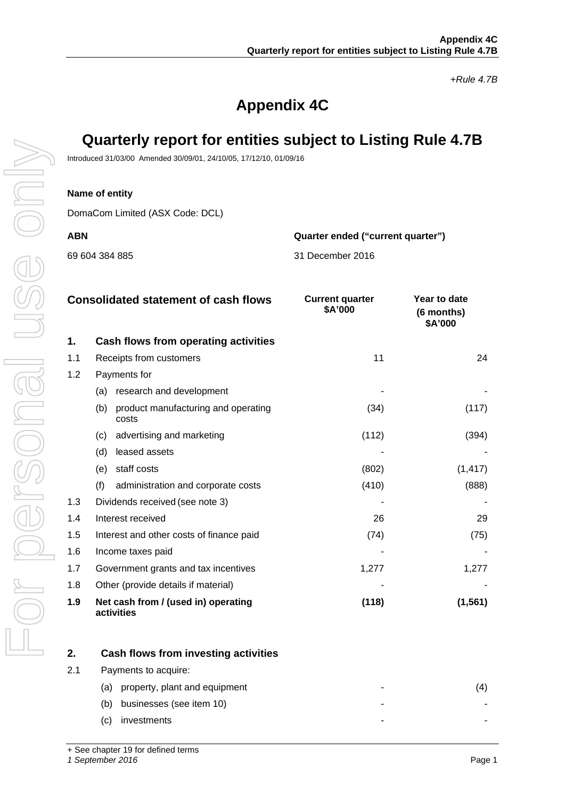*+Rule 4.7B*

# **Appendix 4C**

# **Quarterly report for entities subject to Listing Rule 4.7B**

Introduced 31/03/00 Amended 30/09/01, 24/10/05, 17/12/10, 01/09/16

#### **Name of entity**

DomaCom Limited (ASX Code: DCL)

69 604 384 885

**ABN Quarter ended ("current quarter")**

| 31 December 2016 |  |
|------------------|--|

| <b>Consolidated statement of cash flows</b> |                                                     | <b>Current quarter</b><br>\$A'000 | Year to date<br>(6 months) |  |
|---------------------------------------------|-----------------------------------------------------|-----------------------------------|----------------------------|--|
| 1.                                          | Cash flows from operating activities                |                                   | \$A'000                    |  |
| 1.1                                         | Receipts from customers                             | 11                                | 24                         |  |
| 1.2                                         | Payments for                                        |                                   |                            |  |
|                                             | research and development<br>(a)                     |                                   |                            |  |
|                                             | product manufacturing and operating<br>(b)<br>costs | (34)                              | (117)                      |  |
|                                             | advertising and marketing<br>(c)                    | (112)                             | (394)                      |  |
|                                             | (d)<br>leased assets                                |                                   |                            |  |
|                                             | staff costs<br>(e)                                  | (802)                             | (1, 417)                   |  |
|                                             | (f)<br>administration and corporate costs           | (410)                             | (888)                      |  |
| 1.3                                         | Dividends received (see note 3)                     |                                   |                            |  |
| 1.4                                         | Interest received                                   | 26                                | 29                         |  |
| 1.5                                         | Interest and other costs of finance paid            | (74)                              |                            |  |
| 1.6                                         | Income taxes paid                                   |                                   |                            |  |
| 1.7                                         | Government grants and tax incentives                | 1,277                             | 1,277                      |  |
| 1.8                                         | Other (provide details if material)                 |                                   |                            |  |

**1.9 Net cash from / (used in) operating activities**

| 2.  | Cash flows from investing activities |   |  |
|-----|--------------------------------------|---|--|
| 2.1 | Payments to acquire:                 |   |  |
|     | property, plant and equipment<br>(a) |   |  |
|     | businesses (see item 10)<br>(b)      |   |  |
|     | investments<br>C)                    | - |  |

**(118) (1,561)**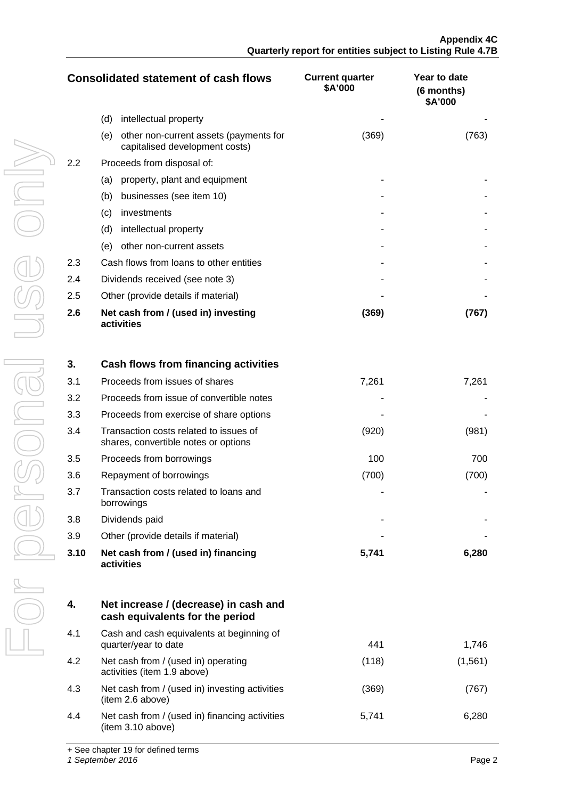| <b>Consolidated statement of cash flows</b> |                                                                                 | <b>Current quarter</b><br>\$A'000 | Year to date<br>(6 months)<br>\$A'000 |
|---------------------------------------------|---------------------------------------------------------------------------------|-----------------------------------|---------------------------------------|
|                                             | (d)<br>intellectual property                                                    |                                   |                                       |
|                                             | other non-current assets (payments for<br>(e)<br>capitalised development costs) | (369)                             | (763)                                 |
| 2.2                                         | Proceeds from disposal of:                                                      |                                   |                                       |
|                                             | property, plant and equipment<br>(a)                                            |                                   |                                       |
|                                             | (b)<br>businesses (see item 10)                                                 |                                   |                                       |
|                                             | investments<br>(c)                                                              |                                   |                                       |
|                                             | (d)<br>intellectual property                                                    |                                   |                                       |
|                                             | (e)<br>other non-current assets                                                 |                                   |                                       |
| 2.3                                         | Cash flows from loans to other entities                                         |                                   |                                       |
| 2.4                                         | Dividends received (see note 3)                                                 |                                   |                                       |
| 2.5                                         | Other (provide details if material)                                             |                                   |                                       |
| 2.6                                         | Net cash from / (used in) investing<br>activities                               | (369)                             | (767)                                 |

| 3.   | Cash flows from financing activities                                           |       |       |
|------|--------------------------------------------------------------------------------|-------|-------|
| 3.1  | Proceeds from issues of shares                                                 | 7,261 | 7,261 |
| 3.2  | Proceeds from issue of convertible notes                                       |       |       |
| 3.3  | Proceeds from exercise of share options                                        |       |       |
| 3.4  | Transaction costs related to issues of<br>shares, convertible notes or options | (920) | (981) |
| 3.5  | Proceeds from borrowings                                                       | 100   | 700   |
| 3.6  | Repayment of borrowings                                                        | (700) | (700) |
| 3.7  | Transaction costs related to loans and<br>borrowings                           |       |       |
| 3.8  | Dividends paid                                                                 |       |       |
| 3.9  | Other (provide details if material)                                            |       |       |
| 3.10 | Net cash from / (used in) financing<br>activities                              | 5,741 | 6,280 |

| 4.  | Net increase / (decrease) in cash and<br>cash equivalents for the period |       |          |
|-----|--------------------------------------------------------------------------|-------|----------|
| 4.1 | Cash and cash equivalents at beginning of<br>quarter/year to date        | 441   | 1.746    |
| 4.2 | Net cash from / (used in) operating<br>activities (item 1.9 above)       | (118) | (1, 561) |
| 4.3 | Net cash from / (used in) investing activities<br>(item 2.6 above)       | (369) | 767      |
| 4.4 | Net cash from / (used in) financing activities<br>(item 3.10 above)      | 5.741 | 6.280    |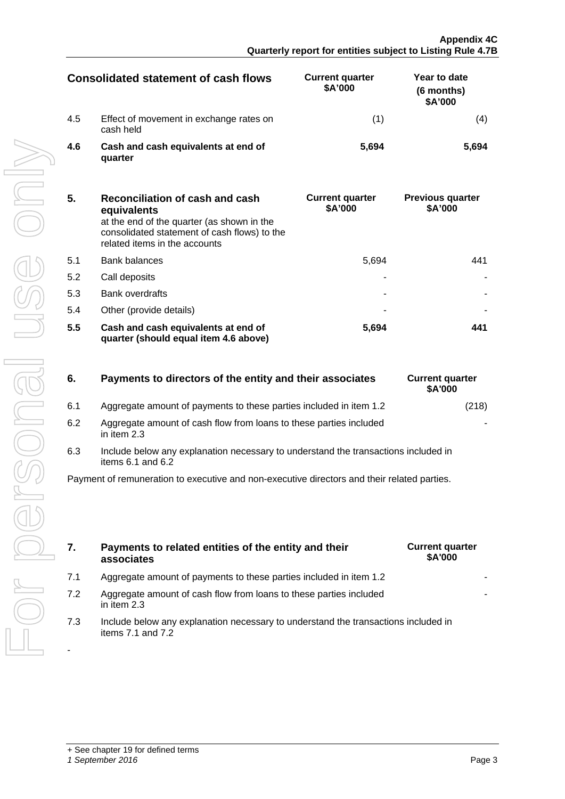| Consolidated statement of cash flows |                                                      | <b>Current quarter</b><br>\$A'000 | Year to date<br>(6 months)<br>\$A'000 |
|--------------------------------------|------------------------------------------------------|-----------------------------------|---------------------------------------|
| 4.5                                  | Effect of movement in exchange rates on<br>cash held |                                   |                                       |
| 4.6                                  | Cash and cash equivalents at end of<br>quarter       | 5,694                             | .694                                  |

| 4.6 | Cash and cash equivalents at end of<br>quarter                                                                                               | 5,694                             | 5,694                                    |
|-----|----------------------------------------------------------------------------------------------------------------------------------------------|-----------------------------------|------------------------------------------|
| 5.  | Reconciliation of cash and cash<br>equivalents<br>at the end of the quarter (as shown in the<br>consolidated statement of cash flows) to the | <b>Current quarter</b><br>\$A'000 | <b>Previous quarter</b><br>\$A'000       |
| 5.1 | related items in the accounts<br><b>Bank balances</b>                                                                                        | 5,694                             | 441                                      |
| 5.2 | Call deposits                                                                                                                                |                                   |                                          |
| 5.3 | <b>Bank overdrafts</b>                                                                                                                       |                                   |                                          |
| 5.4 | Other (provide details)                                                                                                                      |                                   |                                          |
| 5.5 | Cash and cash equivalents at end of<br>quarter (should equal item 4.6 above)                                                                 | 5,694                             | 441                                      |
|     |                                                                                                                                              |                                   |                                          |
| 6.  | Payments to directors of the entity and their associates                                                                                     |                                   | <b>Current quarter</b><br>\$A'000        |
| 6.1 | Aggregate amount of payments to these parties included in item 1.2                                                                           |                                   | (218)                                    |
| 6.2 | Aggregate amount of cash flow from loans to these parties included<br>in item 2.3                                                            |                                   |                                          |
| 6.3 | Include below any explanation necessary to understand the transactions included in<br>items 6.1 and 6.2                                      |                                   |                                          |
|     | Payment of remuneration to executive and non-executive directors and their related parties.                                                  |                                   |                                          |
|     |                                                                                                                                              |                                   |                                          |
| 7.  | Payments to related entities of the entity and their<br>associates                                                                           |                                   | <b>Current quarter</b><br><b>\$A'000</b> |
| 7.1 | Aggregate amount of payments to these parties included in item 1.2                                                                           |                                   |                                          |
| 7.2 | Aggregate amount of cash flow from loans to these parties included<br>in item 2.3                                                            |                                   |                                          |
| 7.3 | Include below any explanation necessary to understand the transactions included in<br>items 7.1 and 7.2                                      |                                   |                                          |
|     |                                                                                                                                              |                                   |                                          |

| Payments to directors of the entity and their associates | <b>Current quarter</b> |
|----------------------------------------------------------|------------------------|
|                                                          |                        |

| 6.2 | Aggregate amount of cash flow from loans to these parties included |  |
|-----|--------------------------------------------------------------------|--|
|     | in item $2.3$                                                      |  |

- **7. Payments to related entities of the entity and their associates**
- 7.1 Aggregate amount of payments to these parties included in item 1.2
- 7.2 Aggregate amount of cash flow from loans to these parties included in item 2.3
- 7.3 Include below any explanation necessary to understand the transactions included in items 7.1 and 7.2

-

| <b>Current quarter</b><br>\$A'000 |
|-----------------------------------|
|                                   |
|                                   |

| <b>Current quarter</b><br>\$A'000 |       |
|-----------------------------------|-------|
|                                   | (218) |
|                                   |       |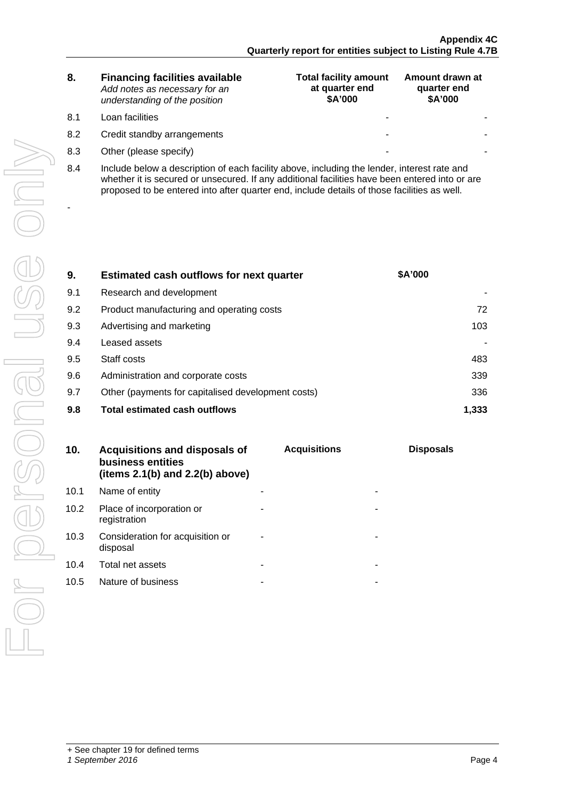| 8. | <b>Financing facilities available</b> |
|----|---------------------------------------|
|    | Add notes as necessary for an         |
|    | understanding of the position         |

-

- 
- 
- **Total facility amount at quarter end \$A'000 Amount drawn at quarter end \$A'000** 8.1 Loan facilities - - 8.2 Credit standby arrangements and the standard standard standard standard standard standard standard standard standard standard standard standard standard standard standard standard standard standard standard standard st 8.3 Other (please specify) and the set of the set of the set of the set of the set of the set of the set of the set of the set of the set of the set of the set of the set of the set of the set of the set of the set of the
- 8.4 Include below a description of each facility above, including the lender, interest rate and whether it is secured or unsecured. If any additional facilities have been entered into or are proposed to be entered into after quarter end, include details of those facilities as well.

| 9.  | Estimated cash outflows for next quarter           | \$A'000 |
|-----|----------------------------------------------------|---------|
| 9.1 | Research and development                           |         |
| 9.2 | Product manufacturing and operating costs          |         |
| 9.3 | Advertising and marketing                          | 103     |
| 9.4 | Leased assets                                      |         |
| 9.5 | Staff costs                                        | 483     |
| 9.6 | Administration and corporate costs                 | 339     |
| 9.7 | Other (payments for capitalised development costs) | 336     |
| 9.8 | <b>Total estimated cash outflows</b>               |         |

| 10.  | Acquisitions and disposals of<br>business entities<br>(items $2.1(b)$ and $2.2(b)$ above) | <b>Acquisitions</b> | <b>Disposals</b> |
|------|-------------------------------------------------------------------------------------------|---------------------|------------------|
|      | 10.1 Name of entity                                                                       |                     |                  |
| 10.2 | Place of incorporation or<br>registration                                                 |                     |                  |
| 10.3 | Consideration for acquisition or<br>disposal                                              |                     |                  |
| 10.4 | Total net assets                                                                          |                     |                  |
| 10.5 | Nature of business                                                                        |                     |                  |